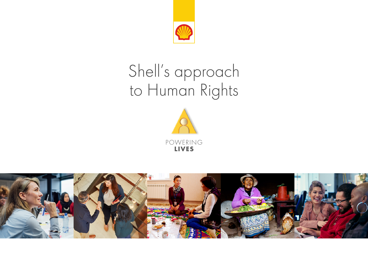

# Shell's approach to Human Rights



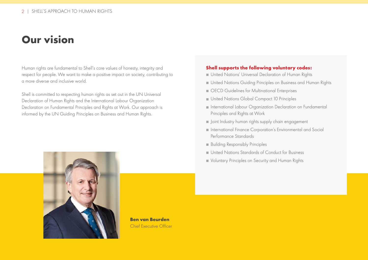# **Our vision**

Human rights are fundamental to Shell's core values of honesty, integrity and respect for people. We want to make a positive impact on society, contributing to a more diverse and inclusive world.

Shell is committed to respecting human rights as set out in the UN Universal Declaration of Human Rights and the International Labour Organization Declaration on Fundamental Principles and Rights at Work. Our approach is informed by the UN Guiding Principles on Business and Human Rights.



**Ben van Beurden**  Chief Executive Officer

#### **Shell supports the following voluntary codes:**

- United Nations' Universal Declaration of Human Rights
- United Nations Guiding Principles on Business and Human Rights
- **CECD Guidelines for Multinational Enterprises**
- **United Nations Global Compact 10 Principles**
- International Labour Organization Declaration on Fundamental Principles and Rights at Work
- **Joint Industry human rights supply chain engagement**
- International Finance Corporation's Environmental and Social Performance Standards
- **Building Responsibly Principles**
- United Nations Standards of Conduct for Business
- Voluntary Principles on Security and Human Rights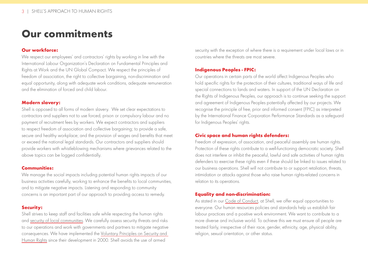### **Our commitments**

### **Our workforce:**

We respect our employees' and contractors' rights by working in line with the International Labour Organization's Declaration on Fundamental Principles and Rights at Work and the UN Global Compact. We respect the principles of freedom of association, the right to collective bargaining, non-discrimination and equal opportunity, along with adequate work conditions, adequate remuneration and the elimination of forced and child labour.

### **Modern slavery:**

Shell is opposed to all forms of modern slavery. We set clear expectations to contractors and suppliers not to use forced, prison or compulsory labour and no payment of recruitment fees by workers. We expect contractors and suppliers to respect freedom of association and collective bargaining; to provide a safe, secure and healthy workplace; and the provision of wages and benefits that meet or exceed the national legal standards. Our contractors and suppliers should provide workers with whistleblowing mechanisms where grievances related to the above topics can be logged confidentially.

### **Communities:**

We manage the social impacts including potential human rights impacts of our business activities carefully, working to enhance the benefits to local communities, and to mitigate negative impacts. Listening and responding to community concerns is an important part of our approach to providing access to remedy.

### **Security:**

Shell strives to keep staff and facilities safe while respecting the human rights and [security of local communities.](https://reports.shell.com/sustainability-report/2019/responsible-business/human-rights/managing-our-impact-on-people.html?q=security&pageID=119763&tabc=1e5) We carefully assess security threats and risks to our operations and work with governments and partners to mitigate negative consequences. We have implemented the [Voluntary Principles on Security and](https://www.shell.com/vpshr)  [Human Rights](https://www.shell.com/vpshr) since their development in 2000. Shell avoids the use of armed

security with the exception of where there is a requirement under local laws or in countries where the threats are most severe.

### **Indigenous Peoples - FPIC:**

Our operations in certain parts of the world affect Indigenous Peoples who hold specific rights for the protection of their cultures, traditional ways of life and special connections to lands and waters. In support of the UN Declaration on the Rights of Indigenous Peoples, our approach is to continue seeking the support and agreement of Indigenous Peoples potentially affected by our projects. We recognise the principle of free, prior and informed consent (FPIC) as interpreted by the International Finance Corporation Performance Standards as a safeguard for Indigenous Peoples' rights.

### **Civic space and human rights defenders:**

Freedom of expression, of association, and peaceful assembly are human rights. Protection of these rights contribute to a well-functioning democratic society. Shell does not interfere or inhibit the peaceful, lawful and safe activities of human rights defenders to exercise these rights even if these should be linked to issues related to our business operations. Shell will not contribute to or support retaliation, threats, intimidation or attacks against those who raise human rights-related concerns in relation to its operations.

### **Equality and non-discrimination:**

As stated in our [Code of Conduct](https://www.shell.com/about-us/our-values/_jcr_content/par/relatedtopics_1339962475.stream/1572621199415/2e554716a2fb77d4048b4338387fac946178699d/codeofconduct-english-2015.pdf?), at Shell, we offer equal opportunities to everyone. Our human resources policies and standards help us establish fair labour practices and a positive work environment. We want to contribute to a more diverse and inclusive world. To achieve this we must ensure all people are treated fairly, irrespective of their race, gender, ethnicity, age, physical ability, religion, sexual orientation, or other status.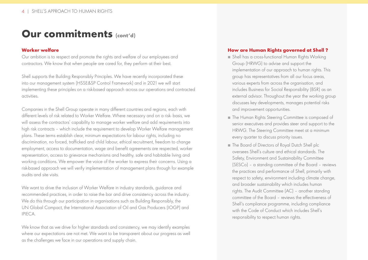### **Our commitments (cont'd)**

### **Worker welfare**

Our ambition is to respect and promote the rights and welfare of our employees and contractors. We know that when people are cared for, they perform at their best.

Shell supports the Building Responsibly Principles. We have recently incorporated these into our management system (HSSE&SP Control Framework) and in 2021 we will start implementing these principles on a risk-based approach across our operations and contracted activities.

Companies in the Shell Group operate in many different countries and regions, each with different levels of risk related to Worker Welfare. Where necessary and on a risk- basis, we will assess the contractors' capability to manage worker welfare and add requirements into high risk contracts – which include the requirement to develop Worker Welfare management plans. These terms establish clear, minimum expectations for labour rights, including no discrimination, no forced, trafficked and child labour, ethical recruitment, freedom to change employment, access to documentation, wage and benefit agreements are respected, worker representation, access to grievance mechanisms and healthy, safe and habitable living and working conditions. We empower the voice of the worker to express their concerns. Using a risk-based approach we will verify implementation of management plans through for example audits and site visits.

We want to drive the inclusion of Worker Welfare in industry standards, guidance and recommended practices, in order to raise the bar and drive consistency across the industry. We do this through our participation in organisations such as Building Responsibly, the UN Global Compact, the International Association of Oil and Gas Producers (IOGP) and IPIECA.

We know that as we drive for higher standards and consistency, we may identify examples where our expectations are not met. We want to be transparent about our progress as well as the challenges we face in our operations and supply chain.

### **How are Human Rights governed at Shell ?**

- Shell has a cross-functional Human Rights Working Group (HRWG) to advise and support the implementation of our approach to human rights. This group has representatives from all our focus areas, various experts from across the organisation, and includes Business for Social Responsibility (BSR) as an external advisor. Throughout the year the working group discusses key developments, manages potential risks and improvement opportunities.
- The Human Rights Steering Committee is composed of senior executives and provides steer and support to the HRWG. The Steering Committee meet at a minimum every quarter to discuss priority issues.
- The Board of Directors of Royal Dutch Shell plc oversees Shell's culture and ethical standards. The Safety, Environment and Sustainability Committee (SESCo) – a standing committee of the Board – reviews the practices and performance of Shell, primarily with respect to safety, environment including climate change, and broader sustainability which includes human rights. The Audit Committee (AC) – another standing committee of the Board – reviews the effectiveness of Shell's compliance programme, including compliance with the Code of Conduct which includes Shell's responsibility to respect human rights.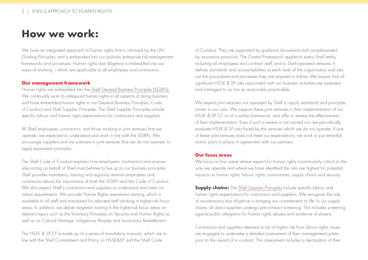### **How we work:**

We have an integrated approach to human rights that is informed by the UN Guiding Principles, and is embedded into our policies, enterprise risk management frameworks and processes. Human rights due diligence is embedded into our ways of working – which are applicable to all employees and contractors.

### **Our management framework**

Human rights are embedded into the [Shell General Business Principles \(SGBPs\).](https://www.shell.com/about-us/our-values.html)  We continually work to safeguard human rights in all aspects of doing business and have embedded human rights in our General Business Principles, Code of Conduct and Shell Supplier Principles. The Shell Supplier Principles include specific labour and human rights expectations for contractors and suppliers.

All Shell employees, contractors, and those working in joint ventures that we operate, are expected to understand and work in line with the SGBPs. We encourage suppliers and our partners in joint ventures that we do not operate, to apply equivalent principles.

The Shell Code of Conduct explains how employees, contractors and anyone else acting on behalf of Shell must behave to live up to our business principles. Shell provides mandatory training and regularly reminds employees and contractors about the importance of both the SGBPs and the Code of Conduct. We also expect Shell's contractors and suppliers to understand and meet our robust requirements. We provide Human Rights awareness training, which is available to all staff and mandated for selected staff working in higher-risk focus areas. In addition, we deliver targeted training in the higher-risk focus areas on relevant topics such as the Voluntary Principles on Security and Human Rights as well as on Cultural Heritage, Indigenous Peoples and Involuntary Resettlement.

The HSSE & SP CF is made up of a series of mandatory manuals, which are in line with the Shell Commitment and Policy on HSSE&SP and the Shell Code

of Conduct. They are supported by guidance documents and complemented by assurance protocols. The Control Framework applies to every Shell entity, including all employees and contract staff, and to Shell-operated ventures. It defines standards and accountabilities at each level of the organisation and sets out the procedures and processes they are required to follow. We require that all significant HSSE & SP risks associated with our business activities are assessed and managed to as low as reasonably practicable.

We expect joint ventures not operated by Shell to apply standards and principles similar to our own. We support these joint ventures in their implementation of our HSSE & SP CF, or of a similar framework, and offer to review the effectiveness of their implementation. Even if such a review is not carried out, we periodically evaluate HSSE & SP risks faced by the ventures which we do not operate. If one of these joint ventures does not meet our expectations, we work to put remedial action plans in place, in agreement with our partners.

### **Our focus areas**

We focus on four areas where respect for human rights is particularly critical to the way we operate and where we have identified the risks are highest for potential impacts on human rights: labour rights, communities, supply chains and security.

**Supply chains:** The [Shell Supplier Principles](https://www.shell.com/business-customers/shell-for-suppliers.html) include specific labour and human rights expectations for contractors and suppliers. We recognise the role of counterparty due diligence in bringing our commitments to life. In our supply chains, all direct suppliers undergo pre-contract screening. This includes screening against public allegation for human rights abuses and evidence of slavery.

Contractors and suppliers deemed to be at higher risk from labour rights issues are engaged to undertake a detailed assessment of their management system prior to the award of a contract. This assessment includes a declaration of their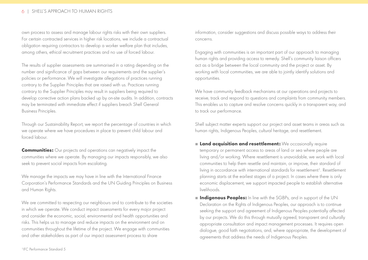#### 6 | SHELL'S APPROACH TO HUMAN RIGHTS

own process to assess and manage labour rights risks with their own suppliers. For certain contracted services in higher risk locations, we include a contractual obligation requiring contractors to develop a worker welfare plan that includes, among others, ethical recruitment practices and no use of forced labour.

The results of supplier assessments are summarised in a rating depending on the number and significance of gaps between our requirements and the supplier's policies or performance. We will investigate allegations of practices running contrary to the Supplier Principles that are raised with us. Practices running contrary to the Supplier Principles may result in suppliers being required to develop corrective action plans backed up by on-site audits. In addition, contracts may be terminated with immediate effect if suppliers breach Shell General Business Principles.

Through our Sustainability Report, we report the percentage of countries in which we operate where we have procedures in place to prevent child labour and forced labour.

**Communities:** Our projects and operations can negatively impact the communities where we operate. By managing our impacts responsibly, we also seek to prevent social impacts from escalating.

We manage the impacts we may have in line with the International Finance Corporation's Performance Standards and the UN Guiding Principles on Business and Human Rights.

We are committed to respecting our neighbours and to contribute to the societies in which we operate. We conduct impact assessments for every major project and consider the economic, social, environmental and health opportunities and risks. This helps us to manage and reduce impacts on the environment and on communities throughout the lifetime of the project. We engage with communities and other stakeholders as part of our impact assessment process to share

information, consider suggestions and discuss possible ways to address their concerns.

Engaging with communities is an important part of our approach to managing human rights and providing access to remedy. Shell's community liaison officers act as a bridge between the local community and the project or asset. By working with local communities, we are able to jointly identify solutions and opportunities.

We have community feedback mechanisms at our operations and projects to receive, track and respond to questions and complaints from community members. This enables us to capture and resolve concerns quickly in a transparent way, and to track our performance.

Shell subject matter experts support our project and asset teams in areas such as human rights, Indigenous Peoples, cultural heritage, and resettlement.

- **Land acquisition and resettlement:** We occasionally require temporary or permanent access to areas of land or sea where people are living and/or working. Where resettlement is unavoidable, we work with local communities to help them resettle and maintain, or improve, their standard of living in accordance with international standards for resettlement<sup>1</sup>. Resettlement planning starts at the earliest stages of a project. In cases where there is only economic displacement, we support impacted people to establish alternative livelihoods.
- **Indigenous Peoples:** In line with the SGBPs, and in support of the UN Declaration on the Rights of Indigenous Peoples, our approach is to continue seeking the support and agreement of Indigenous Peoples potentially affected by our projects. We do this through mutually agreed, transparent and culturally appropriate consultation and impact management processes. It requires open dialogue, good faith negotiations, and, where appropriate, the development of agreements that address the needs of Indigenous Peoples.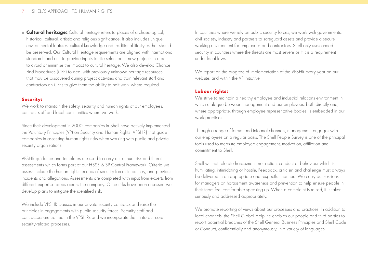**Cultural heritage:** Cultural heritage refers to places of archaeological, historical, cultural, artistic and religious significance. It also includes unique environmental features, cultural knowledge and traditional lifestyles that should be preserved. Our Cultural Heritage requirements are aligned with international standards and aim to provide inputs to site selection in new projects in order to avoid or minimise the impact to cultural heritage. We also develop Chance Find Procedures (CFP) to deal with previously unknown heritage resources that may be discovered during project activities and train relevant staff and contractors on CFPs to give them the ability to halt work where required.

### **Security:**

We work to maintain the safety, security and human rights of our employees, contract staff and local communities where we work.

Since their development in 2000, companies in Shell have actively implemented the Voluntary Principles (VP) on Security and Human Rights (VPSHR) that guide companies in assessing human rights risks when working with public and private security organisations.

VPSHR guidance and templates are used to carry out annual risk and threat assessments which forms part of our HSSE & SP Control Framework. Criteria we assess include the human rights records of security forces in country, and previous incidents and allegations. Assessments are completed with input from experts from different expertise areas across the company. Once risks have been assessed we develop plans to mitigate the identified risk.

We include VPSHR clauses in our private security contracts and raise the principles in engagements with public security forces. Security staff and contractors are trained in the VPSHRs and we incorporate them into our core security-related processes.

In countries where we rely on public security forces, we work with governments, civil society, industry and partners to safeguard assets and provide a secure working environment for employees and contractors. Shell only uses armed security in countries where the threats are most severe or if it is a requirement under local laws.

We report on the progress of implementation of the VPSHR every year on our website, and within the VP initiative.

### **Labour rights:**

We strive to maintain a healthy employee and industrial relations environment in which dialogue between management and our employees, both directly and, where appropriate, through employee representative bodies, is embedded in our work practices.

Through a range of formal and informal channels, management engages with our employees on a regular basis. The Shell People Survey is one of the principal tools used to measure employee engagement, motivation, affiliation and commitment to Shell.

Shell will not tolerate harassment, nor action, conduct or behaviour which is humiliating, intimidating or hostile. Feedback, criticism and challenge must always be delivered in an appropriate and respectful manner. We carry out sessions for managers on harassment awareness and prevention to help ensure people in their team feel comfortable speaking up. When a complaint is raised, it is taken seriously and addressed appropriately.

We promote reporting of views about our processes and practices. In addition to local channels, the Shell Global Helpline enables our people and third parties to report potential breaches of the Shell General Business Principles and Shell Code of Conduct, confidentially and anonymously, in a variety of languages.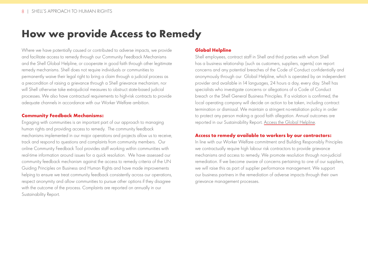### **How we provide Access to Remedy**

Where we have potentially caused or contributed to adverse impacts, we provide and facilitate access to remedy through our Community Feedback Mechanisms and the Shell Global Helpline, or cooperate in good faith through other legitimate remedy mechanisms. Shell does not require individuals or communities to permanently waive their legal right to bring a claim through a judicial process as a precondition of raising a grievance through a Shell grievance mechanism, nor will Shell otherwise take extrajudicial measures to obstruct state-based judicial processes. We also have contractual requirements to high-risk contracts to provide adequate channels in accordance with our Worker Welfare ambition.

### **Community Feedback Mechanisms:**

 online Community Feedback Tool provides staff working within communities with Engaging with communities is an important part of our approach to managing human rights and providing access to remedy. The community feedback mechanisms implemented in our major operations and projects allow us to receive, track and respond to questions and complaints from community members. Our real-time information around issues for a quick resolution. We have assessed our community feedback mechanism against the access to remedy criteria of the UN Guiding Principles on Business and Human Rights and have made improvements helping to ensure we treat community feedback consistently across our operations, respect anonymity and allow communities to pursue other options if they disagree with the outcome of the process. Complaints are reported on annually in our Sustainability Report.

### **Global Helpline**

Shell employees, contract staff in Shell and third parties with whom Shell has a business relationship (such as customers, suppliers, agents) can report concerns and any potential breaches of the Code of Conduct confidentially and anonymously through our Global Helpline, which is operated by an independent provider and available in 14 languages, 24 hours a day, every day. Shell has specialists who investigate concerns or allegations of a Code of Conduct breach or the Shell General Business Principles. If a violation is confirmed, the local operating company will decide on action to be taken, including contract termination or dismissal. We maintain a stringent no-retaliation policy in order to protect any person making a good faith allegation. Annual outcomes are reported in our Sustainability Report. [Access the Global Helpline.](https://www.shell.com/about-us/our-values/shell-global-helpline.html)

### **Access to remedy available to workers by our contractors:**

In line with our Worker Welfare commitment and Building Responsibly Principles we contractually require high labour risk contractors to provide grievance mechanisms and access to remedy. We promote resolution through non-judicial remediation. If we become aware of concerns pertaining to one of our suppliers, we will raise this as part of supplier performance management. We support our business partners in the remediation of adverse impacts through their own grievance management processes.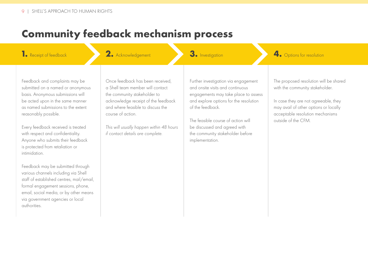## **Community feedback mechanism process**

**1.** Receipt of feedback **2.** Acknowledgement **3.** Investigation **4.** Options for resolution

Feedback and complaints may be submitted on a named or anonymous basis. Anonymous submissions will be acted upon in the same manner as named submissions to the extent reasonably possible.

Every feedback received is treated with respect and confidentiality. Anyone who submits their feedback is protected from retaliation or intimidation.

Feedback may be submitted through various channels including via Shell staff of established centres, mail/email, formal engagement sessions, phone, email, social media, or by other means via government agencies or local authorities.

Once feedback has been received, a Shell team member will contact the community stakeholder to acknowledge receipt of the feedback and where feasible to discuss the course of action.

*This will usually happen within 48 hours if contact details are complete.* 

Further investigation via engagement and onsite visits and continuous engagements may take place to assess and explore options for the resolution of the feedback.

The feasible course of action will be discussed and agreed with the community stakeholder before implementation.

The proposed resolution will be shared with the community stakeholder.

In case they are not agreeable, they may avail of other options or locally acceptable resolution mechanisms outside of the CFM.